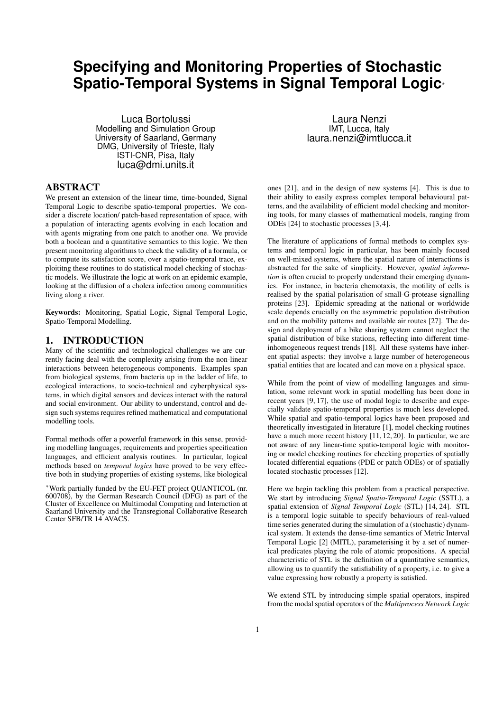# **Specifying and Monitoring Properties of Stochastic Spatio-Temporal Systems in Signal Temporal Logic**<sup>∗</sup>

Luca Bortolussi Modelling and Simulation Group University of Saarland, Germany DMG, University of Trieste, Italy ISTI-CNR, Pisa, Italy luca@dmi.units.it

## ABSTRACT

We present an extension of the linear time, time-bounded, Signal Temporal Logic to describe spatio-temporal properties. We consider a discrete location/ patch-based representation of space, with a population of interacting agents evolving in each location and with agents migrating from one patch to another one. We provide both a boolean and a quantitative semantics to this logic. We then present monitoring algorithms to check the validity of a formula, or to compute its satisfaction score, over a spatio-temporal trace, exploititng these routines to do statistical model checking of stochastic models. We illustrate the logic at work on an epidemic example, looking at the diffusion of a cholera infection among communities living along a river.

Keywords: Monitoring, Spatial Logic, Signal Temporal Logic, Spatio-Temporal Modelling.

# 1. INTRODUCTION

Many of the scientific and technological challenges we are currently facing deal with the complexity arising from the non-linear interactions between heterogeneous components. Examples span from biological systems, from bacteria up in the ladder of life, to ecological interactions, to socio-technical and cyberphysical systems, in which digital sensors and devices interact with the natural and social environment. Our ability to understand, control and design such systems requires refined mathematical and computational modelling tools.

Formal methods offer a powerful framework in this sense, providing modelling languages, requirements and properties specification languages, and efficient analysis routines. In particular, logical methods based on *temporal logics* have proved to be very effective both in studying properties of existing systems, like biological

<sup>∗</sup>Work partially funded by the EU-FET project QUANTICOL (nr. 600708), by the German Research Council (DFG) as part of the Cluster of Excellence on Multimodal Computing and Interaction at Saarland University and the Transregional Collaborative Research Center SFB/TR 14 AVACS.

Laura Nenzi IMT, Lucca, Italy laura.nenzi@imtlucca.it

ones [21], and in the design of new systems [4]. This is due to their ability to easily express complex temporal behavioural patterns, and the availability of efficient model checking and monitoring tools, for many classes of mathematical models, ranging from ODEs [24] to stochastic processes [3, 4].

The literature of applications of formal methods to complex systems and temporal logic in particular, has been mainly focused on well-mixed systems, where the spatial nature of interactions is abstracted for the sake of simplicity. However, *spatial information* is often crucial to properly understand their emerging dynamics. For instance, in bacteria chemotaxis, the motility of cells is realised by the spatial polarisation of small-G-protease signalling proteins [23]. Epidemic spreading at the national or worldwide scale depends crucially on the asymmetric population distribution and on the mobility patterns and available air routes [27]. The design and deployment of a bike sharing system cannot neglect the spatial distribution of bike stations, reflecting into different timeinhomogeneous request trends [18]. All these systems have inherent spatial aspects: they involve a large number of heterogeneous spatial entities that are located and can move on a physical space.

While from the point of view of modelling languages and simulation, some relevant work in spatial modelling has been done in recent years [9, 17], the use of modal logic to describe and expecially validate spatio-temporal properties is much less developed. While spatial and spatio-temporal logics have been proposed and theoretically investigated in literature [1], model checking routines have a much more recent history [11, 12, 20]. In particular, we are not aware of any linear-time spatio-temporal logic with monitoring or model checking routines for checking properties of spatially located differential equations (PDE or patch ODEs) or of spatially located stochastic processes [12].

Here we begin tackling this problem from a practical perspective. We start by introducing *Signal Spatio-Temporal Logic* (SSTL), a spatial extension of *Signal Temporal Logic* (STL) [14, 24]. STL is a temporal logic suitable to specify behaviours of real-valued time series generated during the simulation of a (stochastic) dynamical system. It extends the dense-time semantics of Metric Interval Temporal Logic [2] (MITL), parameterising it by a set of numerical predicates playing the role of atomic propositions. A special characteristic of STL is the definition of a quantitative semantics, allowing us to quantify the satisfiability of a property, i.e. to give a value expressing how robustly a property is satisfied.

We extend STL by introducing simple spatial operators, inspired from the modal spatial operators of the *Multiprocess Network Logic*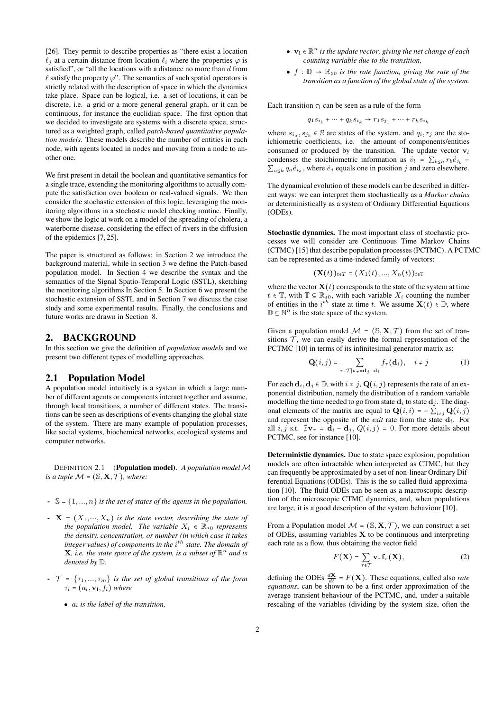[26]. They permit to describe properties as "there exist a location  $\ell_i$  at a certain distance from location  $\ell_i$  where the properties  $\varphi$  is satisfied", or "all the locations with a distance no more than d from  $\ell$  satisfy the property  $\varphi$ ". The semantics of such spatial operators is strictly related with the description of space in which the dynamics take place. Space can be logical, i.e. a set of locations, it can be discrete, i.e. a grid or a more general general graph, or it can be continuous, for instance the euclidian space. The first option that we decided to investigate are systems with a discrete space, structured as a weighted graph, called *patch-based quantitative population models*. These models describe the number of entities in each node, with agents located in nodes and moving from a node to another one.

We first present in detail the boolean and quantitative semantics for a single trace, extending the monitoring algorithms to actually compute the satisfaction over boolean or real-valued signals. We then consider the stochastic extension of this logic, leveraging the monitoring algorithms in a stochastic model checking routine. Finally, we show the logic at work on a model of the spreading of cholera, a waterborne disease, considering the effect of rivers in the diffusion of the epidemics [7, 25].

The paper is structured as follows: in Section 2 we introduce the background material, while in section 3 we define the Patch-based population model. In Section 4 we describe the syntax and the semantics of the Signal Spatio-Temporal Logic (SSTL), sketching the monitoring algorithms In Section 5. In Section 6 we present the stochastic extension of SSTL and in Section 7 we discuss the case study and some experimental results. Finally, the conclusions and future works are drawn in Section 8.

# 2. BACKGROUND

In this section we give the definition of *population models* and we present two different types of modelling approaches.

## 2.1 Population Model

A population model intuitively is a system in which a large number of different agents or components interact together and assume, through local transitions, a number of different states. The transitions can be seen as descriptions of events changing the global state of the system. There are many example of population processes, like social systems, biochemical networks, ecological systems and computer networks.

DEFINITION 2.1 (Population model). *A population model* M *is a tuple*  $M = (\mathbb{S}, \mathbf{X}, \mathcal{T})$ *, where:* 

- $\{-\mathbb{S} = \{1, ..., n\}$  *is the set of states of the agents in the population.*
- $\textbf{X} = (X_1, \dots, X_n)$  *is the state vector, describing the state of the population model. The variable*  $X_i \in \mathbb{R}_{\geq 0}$  *represents the density, concentration, or number (in which case it takes* integer values) of components in the  $i^{th}$  state. The domain of **X**, *i.e. the state space of the system, is a subset of*  $\mathbb{R}^n$  *and is denoted by* D*.*
- $\mathcal{T} = \{\tau_1, ..., \tau_m\}$  *is the set of global transitions of the form*  $\tau_l$  =  $(a_l, \mathbf{v}_1, f_l)$  *where* 
	- a<sup>l</sup> *is the label of the transition,*
- $v_1 \in \mathbb{R}^n$  *is the update vector, giving the net change of each counting variable due to the transition,*
- $\bullet$   $f : \mathbb{D} \to \mathbb{R}_{\geq 0}$  *is the rate function, giving the rate of the transition as a function of the global state of the system.*

Each transition  $\tau_l$  can be seen as a rule of the form

$$
q_1 s_{i_1} + \dots + q_k s_{i_k} \to r_1 s_{j_1} + \dots + r_h s_{i_h}
$$

where  $s_{i_a}, s_{j_b} \in \mathbb{S}$  are states of the system, and  $q_i, r_j$  are the stoichiometric coefficients, i.e. the amount of components/entities consumed or produced by the transition. The update vector  $v_l$ condenses the stoichiometric information as  $\vec{v}_l = \sum_{b \leq h} r_b \vec{e}_{j_b}$  –  $\sum_{a \leq k} q_a \vec{e}_{i_a}$ , where  $\vec{e}_j$  equals one in position j and zero elsewhere.

The dynamical evolution of these models can be described in different ways: we can interpret them stochastically as a *Markov chains* or deterministically as a system of Ordinary Differential Equations (ODEs).

Stochastic dynamics. The most important class of stochastic processes we will consider are Continuous Time Markov Chains (CTMC) [15] that describe population processes (PCTMC). A PCTMC can be represented as a time-indexed family of vectors:

$$
(\mathbf{X}(t))_{t\in T}=(X_1(t),...,X_n(t))_{t\in T}
$$

where the vector  $X(t)$  corresponds to the state of the system at time  $t \in \mathbb{T}$ , with  $\mathbb{T} \subseteq \mathbb{R}_{\geqslant 0}$ , with each variable  $X_i$  counting the number of entities in the  $i^{th}$  state at time t. We assume  $X(t) \in D$ , where  $\mathbb{D} \subseteq \mathbb{N}^n$  is the state space of the system.

Given a population model  $M = (\mathbb{S}, \mathbf{X}, \mathcal{T})$  from the set of transitions  $\mathcal T$ , we can easily derive the formal representation of the PCTMC [10] in terms of its infinitesimal generator matrix as:

$$
\mathbf{Q}(i,j) = \sum_{\tau \in \mathcal{T}|\mathbf{v}_{\tau} = \mathbf{d}_j - \mathbf{d}_i} f_{\tau}(\mathbf{d}_i), \quad i \neq j \tag{1}
$$

For each  $\mathbf{d}_i, \mathbf{d}_j \in \mathbb{D}$ , with  $i \neq j$ ,  $\mathbf{Q}(i, j)$  represents the rate of an exponential distribution, namely the distribution of a random variable modelling the time needed to go from state  $\mathbf{d}_i$  to state  $\mathbf{d}_j$ . The diagonal elements of the matrix are equal to  $\mathbf{Q}(i, i) = -\sum_{i \neq j} \mathbf{Q}(i, j)$ and represent the opposite of the *exit* rate from the state  $\mathbf{d}_i$ . For all i, j s.t.  $\mathbb{1}v_{\tau} = \mathbf{d}_i - \mathbf{d}_j$ ,  $Q(i, j) = 0$ . For more details about PCTMC, see for instance [10].

Deterministic dynamics. Due to state space explosion, population models are often intractable when interpreted as CTMC, but they can frequently be approximated by a set of non-linear Ordinary Differential Equations (ODEs). This is the so called fluid approximation [10]. The fluid ODEs can be seen as a macroscopic description of the microscopic CTMC dynamics, and, when populations are large, it is a good description of the system behaviour [10].

From a Population model  $M = (\mathbb{S}, \mathbf{X}, \mathcal{T})$ , we can construct a set of ODEs, assuming variables  $X$  to be continuous and interpreting each rate as a flow, thus obtaining the vector field

$$
F(\mathbf{X}) = \sum_{\tau \in \mathcal{T}} \mathbf{v}_{\tau} \mathbf{f}_{\tau}(\mathbf{X}), \tag{2}
$$

defining the ODEs  $\frac{d\mathbf{X}}{dt} = F(\mathbf{X})$ . These equations, called also *rate equations*, can be shown to be a first order approximation of the average transient behaviour of the PCTMC, and, under a suitable rescaling of the variables (dividing by the system size, often the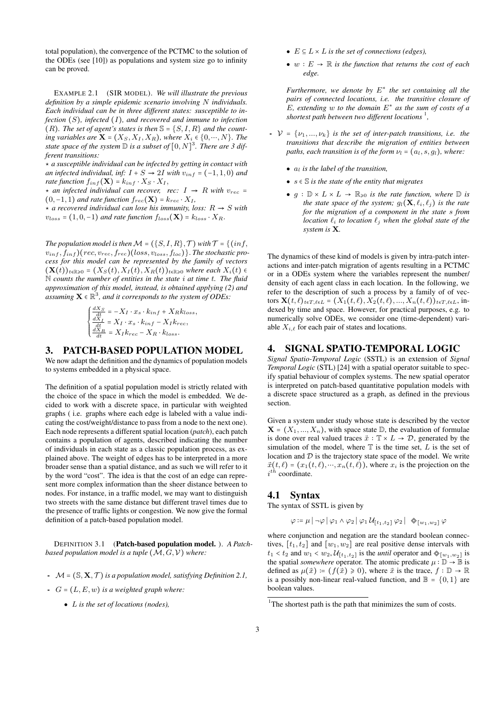total population), the convergence of the PCTMC to the solution of the ODEs (see [10]) as populations and system size go to infinity can be proved.

EXAMPLE 2.1 (SIR MODEL). *We will illustrate the previous definition by a simple epidemic scenario involving* N *individuals. Each individual can be in three different states: susceptible to infection* (S)*, infected* (I)*, and recovered and immune to infection* (R). The set of agent's states is then  $\mathbb{S} = \{S, I, R\}$  and the count*ing variables are*  $\mathbf{X}$  =  $(X_S, X_I, X_R)$ *, where*  $X_i$   $\in$   $\{0, ..., N\}$ *. The* state space of the system  $\mathbb D$  is a subset of  $[0, N]^3$ . There are 3 dif*ferent transitions:*

⋆ *a susceptible individual can be infected by getting in contact with an infected individual, inf:*  $I + S \rightarrow 2I$  *with*  $v_{inf} = (-1, 1, 0)$  *and rate function*  $f_{inf}(\mathbf{X}) = k_{inf} \cdot X_S \cdot X_I$ ,

 $\star$  *an infected individual can recover, rec:*  $I \rightarrow R$  *with*  $v_{rec} =$  $(0,-1,1)$  *and rate function*  $f_{rec}(\mathbf{X}) = k_{rec} \cdot X_I$ ,

 $\star$  *a recovered individual can lose his immunity, loss:*  $R \to S$  *with*  $v_{loss} = (1, 0, -1)$  *and rate function*  $f_{loss}(\mathbf{X}) = k_{loss} \cdot X_R$ .

*The population model is then*  $M = (\{S, I, R\}, \mathcal{T})$  *with*  $\mathcal{T} = \{(\inf, \mathcal{T}\})$ vinf , finf )(rec, vrec, frec)(loss, vloss, floc)}. *The stochastic process for this model can be represented by the family of vectors*  $(\mathbf{X}(t))_{t\in\mathbb{R}\geq 0} = (X_S(t), X_I(t), X_R(t))_{t\in\mathbb{R}\geq 0}$  where each  $X_i(t) \in$ N *counts the number of entities in the state* i *at time* t*. The fluid approximation of this model, instead, is obtained applying (2) and*  $\overline{\textit{a}'}$  assuming  $\mathbf{X} \in \mathbb{R}^3$ , and it corresponds to the system of ODEs:

$$
\begin{cases} \frac{dX_S}{dt} = -X_I \cdot x_s \cdot k_{inf} + X_R k_{loss}, \\ \frac{dX_I}{dt} = X_I \cdot x_s \cdot k_{inf} - X_I k_{rec}, \\ \frac{dX_R}{dt} = X_I k_{rec} - X_R \cdot k_{loss}. \end{cases}
$$

# 3. PATCH-BASED POPULATION MODEL

We now adapt the definition and the dynamics of population models to systems embedded in a physical space.

The definition of a spatial population model is strictly related with the choice of the space in which the model is embedded. We decided to work with a discrete space, in particular with weighted graphs ( i.e. graphs where each edge is labeled with a value indicating the cost/weight/distance to pass from a node to the next one). Each node represents a different spatial location (*patch*), each patch contains a population of agents, described indicating the number of individuals in each state as a classic population process, as explained above. The weight of edges has to be interpreted in a more broader sense than a spatial distance, and as such we will refer to it by the word "cost". The idea is that the cost of an edge can represent more complex information than the sheer distance between to nodes. For instance, in a traffic model, we may want to distinguish two streets with the same distance but different travel times due to the presence of traffic lights or congestion. We now give the formal definition of a patch-based population model.

DEFINITION 3.1 (Patch-based population model. ). *A Patchbased population model is a tuple* (M, G,V) *where:*

- $M = (\mathbb{S}, \mathbf{X}, \mathcal{T})$  *is a population model, satisfying Definition 2.1,*
- G = (L, E, w) *is a weighted graph where:*
	- L *is the set of locations (nodes),*
- $E \subseteq L \times L$  *is the set of connections (edges),*
- w ∶ E → R *is the function that returns the cost of each edge.*

*Furthermore, we denote by* E ∗ *the set containing all the pairs of connected locations, i.e. the transitive closure of*  $E$ , extending  $w$  to the domain  $E^*$  as the sum of costs of a shortest path between two different locations<sup>1</sup>,

- $\mathcal{V} = \{v_1, ..., v_k\}$  *is the set of inter-patch transitions, i.e. the transitions that describe the migration of entities between paths, each transition is of the form*  $\nu_l = (a_l, s, g_l)$ *, where:* 
	- a<sup>l</sup> *is the label of the transition,*
	- s ∈ S *is the state of the entity that migrates*
	- $g : \mathbb{D} \times L \times L \to \mathbb{R}_{\geq 0}$  *is the rate function, where*  $\mathbb{D}$  *is the state space of the system;*  $g_l(\mathbf{X}, \ell_i, \ell_j)$  *is the rate for the migration of a component in the state* s *from location*  $\ell_i$  *to location*  $\ell_j$  *when the global state of the system is* X*.*

The dynamics of these kind of models is given by intra-patch interactions and inter-patch migration of agents resulting in a PCTMC or in a ODEs system where the variables represent the number/ density of each agent class in each location. In the following, we refer to the description of such a process by a family of of vectors  $\mathbf{X}(t, \ell)_{t \in T, \ell \in L} = (X_1(t, \ell), X_2(t, \ell), ..., X_n(t, \ell))_{t \in T, \ell \in L}$ , indexed by time and space. However, for practical purposes, e.g. to numerically solve ODEs, we consider one (time-dependent) variable  $X_{i,\ell}$  for each pair of states and locations.

## 4. SIGNAL SPATIO-TEMPORAL LOGIC

*Signal Spatio-Temporal Logic* (SSTL) is an extension of *Signal Temporal Logic* (STL) [24] with a spatial operator suitable to specify spatial behaviour of complex systems. The new spatial operator is interpreted on patch-based quantitative population models with a discrete space structured as a graph, as defined in the previous section.

Given a system under study whose state is described by the vector  $X = (X_1, ..., X_n)$ , with space state  $D$ , the evaluation of formulae is done over real valued traces  $\vec{x}$  :  $\mathbb{T} \times L \to \mathcal{D}$ , generated by the simulation of the model, where  $T$  is the time set,  $L$  is the set of location and  $D$  is the trajectory state space of the model. We write  $\vec{x}(t, \ell) = (x_1(t, \ell), \dots, x_n(t, \ell))$ , where  $x_i$  is the projection on the  $i^{th}$  coordinate.

#### 4.1 Syntax

The syntax of SSTL is given by

$$
\varphi \coloneqq \mu \mid \neg \varphi \mid \varphi_1 \land \varphi_2 \mid \varphi_1 \mathcal{U}_{[t_1, t_2]} \varphi_2 \mid \varphi_{[w_1, w_2]} \varphi
$$

where conjunction and negation are the standard boolean connectives,  $[t_1, t_2]$  and  $[w_1, w_2]$  are real positive dense intervals with  $t_1 < t_2$  and  $w_1 < w_2, \mathcal{U}_{[t_1, t_2]}$  is the *until* operator and  $\otimes_{[w_1, w_2]}$  is the spatial *somewhere* operator. The atomic predicate  $\mu : \mathbb{D} \to \mathbb{B}$  is defined as  $\mu(\vec{x}) := (f(\vec{x}) \ge 0)$ , where  $\vec{x}$  is the trace,  $f : \mathbb{D} \to \mathbb{R}$ is a possibly non-linear real-valued function, and  $\mathbb{B} = \{0, 1\}$  are boolean values.

 $1$ <sup>1</sup>The shortest path is the path that minimizes the sum of costs.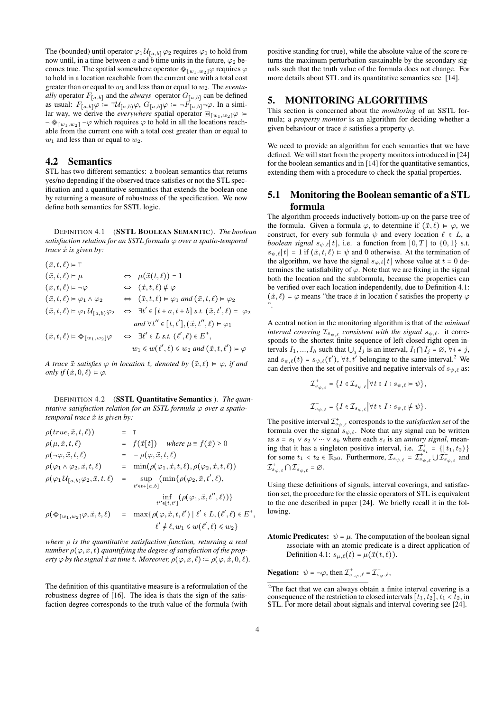The (bounded) until operator  $\varphi_1 \mathcal{U}_{[a,b]} \varphi_2$  requires  $\varphi_1$  to hold from now until, in a time between a and b time units in the future,  $\varphi_2$  becomes true. The spatial somewhere operator  $\otimes_{[w_1,w_2]} \varphi$  requires  $\varphi$ to hold in a location reachable from the current one with a total cost greater than or equal to w<sup>1</sup> and less than or equal to w2. The *eventually* operator  $F_{[a,b]}$  and the *always* operator  $G_{[a,b]}$  can be defined as usual:  $F_{[a,b]}\varphi := \tau \mathcal{U}_{[a,b]}\varphi$ ,  $G_{[a,b]}\varphi := -F_{[a,b]}\varphi$ . In a similar way, we derive the *everywhere* spatial operator  $\mathbb{E}_{[w_1,w_2]}\varphi$  :=  $\neg \otimes_{[w_1,w_2]} \neg \varphi$  which requires  $\varphi$  to hold in all the locations reachable from the current one with a total cost greater than or equal to  $w_1$  and less than or equal to  $w_2$ .

# 4.2 Semantics

STL has two different semantics: a boolean semantics that returns yes/no depending if the observed trace satisfies or not the STL specification and a quantitative semantics that extends the boolean one by returning a measure of robustness of the specification. We now define both semantics for SSTL logic.

DEFINITION 4.1 (SSTL BOOLEAN SEMANTIC). *The boolean satisfaction relation for an SSTL formula* ϕ *over a spatio-temporal trace*  $\vec{x}$  *is given by:* 

$$
(\vec{x},t,\ell) \vDash \top
$$
  
\n
$$
(\vec{x},t,\ell) \vDash \mu \Leftrightarrow \mu(\vec{x}(t,\ell)) = 1
$$
  
\n
$$
(\vec{x},t,\ell) \vDash \neg \varphi \Leftrightarrow (\vec{x},t,\ell) \not\models \varphi
$$
  
\n
$$
(\vec{x},t,\ell) \vDash \varphi_1 \land \varphi_2 \Leftrightarrow (\vec{x},t,\ell) \vDash \varphi_1 \text{ and } (\vec{x},t,\ell) \vDash \varphi_2
$$
  
\n
$$
(\vec{x},t,\ell) \vDash \varphi_1 U_{[a,b)} \varphi_2 \Leftrightarrow \exists t' \in [t+a,t+b] \text{ s.t. } (\vec{x},t',\ell) \vDash \varphi_2
$$
  
\n
$$
\text{and } \forall t'' \in [t,t'], (\vec{x},t'',\ell) \vDash \varphi_1
$$
  
\n
$$
(\vec{x},t,\ell) \vDash \otimes_{[w_1,w_2]} \varphi \Leftrightarrow \exists t' \vDash L \text{ s.t. } (\ell',\ell) \in E^*,
$$
  
\n
$$
w_1 \leq w(\ell',\ell) \leq w_2 \text{ and } (\vec{x},t,\ell') \vDash \varphi
$$

*A trace*  $\vec{x}$  *satisfies*  $\varphi$  *in location*  $\ell$ *, denoted by*  $(\vec{x}, \ell) \models \varphi$ *, if and only if*  $(\vec{x}, 0, \ell) \models \varphi$ .

DEFINITION 4.2 (SSTL Quantitative Semantics ). *The quantitative satisfaction relation for an SSTL formula*  $\varphi$  *over a spatiotemporal trace*  $\vec{x}$  *is given by:* 

$$
\rho(true, \vec{x}, t, \ell) = \top
$$
\n
$$
\rho(\mu, \vec{x}, t, \ell) = f(\vec{x}[t]) \quad \text{where } \mu \equiv f(\vec{x}) \ge 0
$$
\n
$$
\rho(\neg \varphi, \vec{x}, t, \ell) = -\rho(\varphi, \vec{x}, t, \ell)
$$
\n
$$
\rho(\varphi_1 \land \varphi_2, \vec{x}, t, \ell) = \min(\rho(\varphi_1, \vec{x}, t, \ell), \rho(\varphi_2, \vec{x}, t, \ell))
$$
\n
$$
\rho(\varphi_1 U_{[a, b)} \varphi_2, \vec{x}, t, \ell) = \sup_{t' \in t + [a, b]} (\min\{\rho(\varphi_2, \vec{x}, t', \ell), \inf_{t'' \in [t, t']} (\rho(\varphi_1, \vec{x}, t'', \ell)))\}
$$
\n
$$
\rho(\otimes_{[w_1, w_2]} \varphi, \vec{x}, t, \ell) = \max\{\rho(\varphi, \vec{x}, t, \ell') \mid \ell' \in L, (\ell', \ell) \in E^*, \ell' \neq \ell, w_1 \le w(\ell', \ell) \le w_2\}
$$

*where* ρ *is the quantitative satisfaction function, returning a real number*  $\rho(\varphi, \vec{x}, t)$  *quantifying the degree of satisfaction of the property*  $\varphi$  *by the signal*  $\vec{x}$  *at time t. Moreover,*  $\rho(\varphi, \vec{x}, \ell) := \rho(\varphi, \vec{x}, 0, \ell)$ *.* 

The definition of this quantitative measure is a reformulation of the robustness degree of [16]. The idea is thats the sign of the satisfaction degree corresponds to the truth value of the formula (with

positive standing for true), while the absolute value of the score returns the maximum perturbation sustainable by the secondary signals such that the truth value of the formula does not change. For more details about STL and its quantitative semantics see [14].

# 5. MONITORING ALGORITHMS

This section is concerned about the *monitoring* of an SSTL formula; a *property monitor* is an algorithm for deciding whether a given behaviour or trace  $\vec{x}$  satisfies a property  $\varphi$ .

We need to provide an algorithm for each semantics that we have defined. We will start from the property monitors introduced in [24] for the boolean semantics and in [14] for the quantitative semantics, extending them with a procedure to check the spatial properties.

# 5.1 Monitoring the Boolean semantic of a STL formula

The algorithm proceeds inductively bottom-up on the parse tree of the formula. Given a formula  $\varphi$ , to determine if  $(\vec{x}, \ell) \models \varphi$ , we construct, for every sub formula  $\psi$  and every location  $\ell \in L$ , a *boolean signal*  $s_{\psi,\ell}[t]$ , i.e. a function from  $[0, T]$  to  $\{0, 1\}$  s.t.  $s_{\psi,\ell}[t] = 1$  if  $(\vec{x}, t, \ell) \models \psi$  and 0 otherwise. At the termination of the algorithm, we have the signal  $s_{\varphi,\ell}[t]$  whose value at  $t = 0$  determines the satisfiability of  $\varphi$ . Note that we are fixing in the signal both the location and the subformula, because the properties can be verified over each location independently, due to Definition 4.1:  $(\vec{x}, \ell) \models \varphi$  means "the trace  $\vec{x}$  in location  $\ell$  satisfies the property  $\varphi$ ".

A central notion in the monitoring algorithm is that of the *minimal interval covering*  $\mathcal{I}_{s_{\psi,\ell}}$  *consistent with the signal*  $s_{\psi,\ell}$ . it corresponds to the shortest finite sequence of left-closed right open intervals  $I_1, ..., I_h$  such that  $\bigcup_i I_j$  is an interval,  $I_i \cap I_j = \emptyset$ ,  $\forall i \neq j$ , and  $s_{\psi,\ell}(t) = s_{\psi,\ell}(t')$ ,  $\forall t, t'$  belonging to the same interval.<sup>2</sup> We can derive then the set of positive and negative intervals of  $s_{\psi,\ell}$  as:

$$
\begin{array}{l} \mathcal{I}_{s_\psi,\ell}^+ = \big\{ I \in \mathcal{I}_{s_\psi,\ell} \, \Big| \forall t \in I: s_{\psi,\ell} \models \psi \big\}, \\\\ \mathcal{I}_{s_\psi,\ell}^- = \big\{ I \in \mathcal{I}_{s_\psi,\ell} \, \Big| \forall t \in I: s_{\psi,\ell} \not\models \psi \big\}. \end{array}
$$

The positive interval  $\mathcal{I}_{s_{\psi,\ell}}^+$  corresponds to the *satisfaction set* of the formula over the signal  $s_{\psi,\ell}$ . Note that any signal can be written as  $s = s_1 \vee s_2 \vee \cdots \vee s_k$  where each  $s_i$  is an *unitary signal*, meaning that it has a singleton positive interval, i.e.  $\mathcal{I}_{s_i}^+ = \{ [t_1, t_2) \}$ for some  $t_1 < t_2 \in \mathbb{R}_{\geqslant 0}$ . Furthermore,  $\mathcal{I}_{s_{\psi,\ell}} = \mathcal{I}_{s_{\psi,\ell}}^{+} \cup \mathcal{I}_{s_{\psi,\ell}}^{-}$  and  ${\mathcal I}^+_{s_{\psi,\ell}} \bigcap {\mathcal I}^-_{s_{\psi,\ell}} = \varnothing.$ 

Using these definitions of signals, interval coverings, and satisfaction set, the procedure for the classic operators of STL is equivalent to the one described in paper [24]. We briefly recall it in the following.

**Atomic Predicates:**  $\psi = \mu$ . The computation of the boolean signal associate with an atomic predicate is a direct application of Definition 4.1:  $s_{\mu,\ell}(t) = \mu(\vec{x}(t,\ell)).$ 

**Negation:**  $\psi = \neg \varphi$ , then  $\mathcal{I}_{s_{\neg \varphi}, \ell}^{+} = \mathcal{I}_{s_{\varphi}, \ell}^{-}$ ,

 $2$ The fact that we can always obtain a finite interval covering is a consequence of the restriction to closed intervals  $[t_1, t_2]$ ,  $t_1 < t_2$ , in STL. For more detail about signals and interval covering see [24].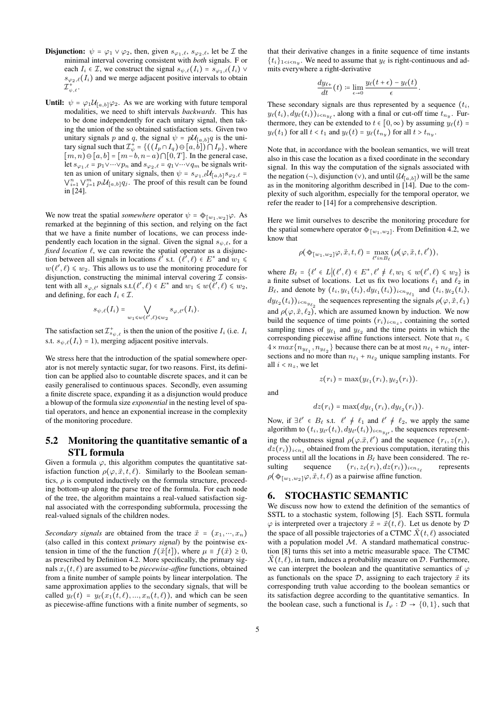- **Disjunction:**  $\psi = \varphi_1 \vee \varphi_2$ , then, given  $s_{\varphi_1,\ell}, s_{\varphi_2,\ell}$ , let be  $\mathcal I$  the minimal interval covering consistent with *both* signals. F or each  $I_i \in \mathcal{I}$ , we construct the signal  $s_{\psi,\ell}(I_i) = s_{\varphi_1,\ell}(I_i)$  $s_{\varphi_2,\ell}(I_i)$  and we merge adjacent positive intervals to obtain  ${\mathcal{I}}_{\psi,\ell}^+$  .
- **Until:**  $\psi = \varphi_1 \mathcal{U}_{[a,b]} \varphi_2$ . As we are working with future temporal modalities, we need to shift intervals *backwards*. This has to be done independently for each unitary signal, then taking the union of the so obtained satisfaction sets. Given two unitary signals p and q, the signal  $\psi = p\mathcal{U}_{[a,b]}q$  is the unitary signal such that  $\mathcal{I}^+_\psi = \{((I_p \cap I_q) \ominus [a, \dot{b}]) \cap I_p\}$ , where  $[m, n] \ominus [a, b] = [m - b, n - a) \cap [0, T]$ . In the general case, let  $s_{\varphi_1,\ell} = p_1 \vee \cdots \vee p_n$  and  $s_{\varphi_2,\ell} = q_1 \vee \cdots \vee q_m$  be signals written as union of unitary signals, then  $\psi = s_{\varphi_1,\ell} \mathcal{U}_{[\alpha,b]} s_{\varphi_2,\ell}$  $\bigvee_{i=1}^{n} \bigvee_{j=1}^{m} p_i \mathcal{U}_{[a,b]} q_j$ . The proof of this result can be found in [24].

We now treat the spatial *somewhere* operator  $\psi = \oint_{[w_1,w_2]} \varphi$ . As remarked at the beginning of this section, and relying on the fact that we have a finite number of locations, we can process independently each location in the signal. Given the signal  $s_{\psi,\ell}$ , for a *fixed location*  $\ell$ , we can rewrite the spatial operator as a disjunction between all signals in locations  $\ell'$  s.t.  $(\ell', \ell) \in E^*$  and  $w_1 \leq$  $w(\ell', \ell) \leq w_2$ . This allows us to use the monitoring procedure for disjunction, constructing the minimal interval covering  $\mathcal I$  consistent with all  $s_{\varphi,\ell'}$  signals s.t. $(\ell',\ell) \in E^*$  and  $w_1 \leq w(\ell',\ell) \leq w_2$ , and defining, for each  $I_i \in \mathcal{I}$ .

$$
s_{\psi,\ell}(I_i)=\bigvee_{w_1\leq w(\ell',\ell)\leq w_2}s_{\varphi,\ell'}(I_i).
$$

The satisfaction set  $\mathcal{I}^+_{s_{\psi,\ell}}$  is then the union of the positive  $I_i$  (i.e.  $I_i$ s.t.  $s_{\psi,\ell}(I_i) = 1$ , merging adjacent positive intervals.

We stress here that the introduction of the spatial somewhere operator is not merely syntactic sugar, for two reasons. First, its definition can be applied also to countable discrete spaces, and it can be easily generalised to continuous spaces. Secondly, even assuming a finite discrete space, expanding it as a disjunction would produce a blowup of the formula size *exponential* in the nesting level of spatial operators, and hence an exponential increase in the complexity of the monitoring procedure.

# 5.2 Monitoring the quantitative semantic of a STL formula

Given a formula  $\varphi$ , this algorithm computes the quantitative satisfaction function  $\rho(\varphi, \vec{x}, t, \ell)$ . Similarly to the Boolean semantics,  $\rho$  is computed inductively on the formula structure, proceeding bottom-up along the parse tree of the formula. For each node of the tree, the algorithm maintains a real-valued satisfaction signal associated with the corresponding subformula, processing the real-valued signals of the children nodes.

*Secondary signals* are obtained from the trace  $\vec{x} = (x_1, \dots, x_n)$ (also called in this context *primary signal*) by the pointwise extension in time of the the function  $f(\vec{x}[t])$ , where  $\mu \equiv f(\vec{x}) \geq 0$ , as prescribed by Definition 4.2. More specifically, the primary signals  $x_i(t, \ell)$  are assumed to be *piecewise-affine* functions, obtained from a finite number of sample points by linear interpolation. The same approximation applies to the secondary signals, that will be called  $y_{\ell}(t) = y_{\ell}(x_1(t, \ell), ..., x_n(t, \ell))$ , and which can be seen as piecewise-affine functions with a finite number of segments, so

that their derivative changes in a finite sequence of time instants  $\{t_i\}_{1 \le i \le n_y}$ . We need to assume that  $y_\ell$  is right-continuous and admits everywhere a right-derivative

$$
\frac{dy_{\ell+}}{dt}(t) \coloneqq \lim_{\epsilon \to 0} \frac{y_{\ell}(t+\epsilon) - y_{\ell}(t)}{\epsilon}.
$$

These secondary signals are thus represented by a sequence  $(t_i, t_i)$  $y_{\ell}(t_i), dy_{\ell}(t_i))_{i \le n_{y_{\ell}}}$ , along with a final or cut-off time  $t_{n_y}$ . Furthermore, they can be extended to  $t \in [0, \infty)$  by assuming  $y_{\ell}(t) =$  $y_{\ell}(t_1)$  for all  $t < t_1$  and  $y_{\ell}(t) = y_{\ell}(t_{n_y})$  for all  $t > t_{n_y}$ .

Note that, in accordance with the boolean semantics, we will treat also in this case the location as a fixed coordinate in the secondary signal. In this way the computation of the signals associated with the negation (¬), disjunction (∨), and until  $(U_{[a,b]})$  will be the same as in the monitoring algorithm described in [14]. Due to the complexity of such algorithm, especially for the temporal operator, we refer the reader to [14] for a comprehensive description.

Here we limit ourselves to describe the monitoring procedure for the spatial somewhere operator  $\otimes_{[w_1,w_2]}$ . From Definition 4.2, we know that

$$
\rho(\otimes_{[w_1,w_2]}\varphi,\vec{x},t,\ell) = \max_{\ell':nB_\ell} (\rho(\varphi,\vec{x},t,\ell')),
$$

where  $B_{\ell} = {\ell' \in L | (\ell', \ell) \in E^*, \ell' \neq \ell, w_1 \leq w(\ell', \ell) \leq w_2}$  is a finite subset of locations. Let us fix two locations  $\ell_1$  and  $\ell_2$  in  $B_{\ell}$ , and denote by  $(t_i, y_{\ell_1}(t_i), dy_{\ell_1}(t_i))_{i \lt n_{y_{\ell_1}}}$  and  $(t_i, y_{\ell_2}(t_i))$  $dy_{\ell_2}(t_i))_{i \le n_{y_{\ell_2}}}$  the sequences representing the signals  $\rho(\varphi, \vec{x}, \ell_1)$ and  $\rho(\varphi, \vec{x}, \ell_2)$ , which are assumed known by induction. We now build the sequence of time points  $(r_i)_{i \leq n_z}$ , containing the sorted sampling times of  $y_{\ell_1}$  and  $y_{\ell_2}$  and the time points in which the corresponding piecewise affine functions intersect. Note that  $n_z \leq$  $4 \times max\{n_{y_{\ell_1}}, n_{y_{\ell_2}}\}$  because there can be at most  $n_{\ell_1} + n_{\ell_2}$  intersections and no more than  $n_{\ell_1} + n_{\ell_2}$  unique sampling instants. For all  $i < n_z$ , we let

$$
z(r_i)=\max(y_{\ell_1}(r_i),y_{\ell_2}(r_i)).
$$

and

$$
dz(r_i) = \max(dy_{\ell_1}(r_i), dy_{\ell_2}(r_i)).
$$

Now, if  $\exists \ell' \in B_\ell$  s.t.  $\ell' \neq \ell_1$  and  $\ell' \neq \ell_2$ , we apply the same algorithm to  $(t_i, y_{\ell'}(t_i), dy_{\ell'}(t_i))_{i \le n_{y_{\ell'}}}$ , the sequences representing the robustness signal  $\rho(\varphi, \vec{x}, \ell')$  and the sequence  $(r_i, z(r_i))$ ,  $dz(r_i)$ <sub>i<n,</sub> obtained from the previous computation, iterating this process until all the locations in  $B_\ell$  have been considered. The resulting sequence  $(r_i, z_\ell(r_i), dz(r_i))_{i \leq n_{z_\ell}}$ represents  $\rho(\otimes_{[w_1,w_2]}\varphi,\vec{x},t,\ell)$  as a pairwise affine function.

## 6. STOCHASTIC SEMANTIC

We discuss now how to extend the definition of the semantics of SSTL to a stochastic system, following [5]. Each SSTL formula  $\varphi$  is interpreted over a trajectory  $\vec{x} = \vec{x}(t, \ell)$ . Let us denote by  $\mathcal{D}$ the space of all possible trajectories of a CTMC  $\vec{X}(t, \ell)$  associated with a population model M. A standard mathematical construction [8] turns this set into a metric measurable space. The CTMC  $\vec{X}(t, \ell)$ , in turn, induces a probability measure on D. Furthermore, we can interpret the boolean and the quantitative semantics of  $\varphi$ as functionals on the space  $D$ , assigning to each trajectory  $\vec{x}$  its corresponding truth value according to the boolean semantics or its satisfaction degree according to the quantitative semantics. In the boolean case, such a functional is  $I_{\varphi} : \mathcal{D} \to \{0, 1\}$ , such that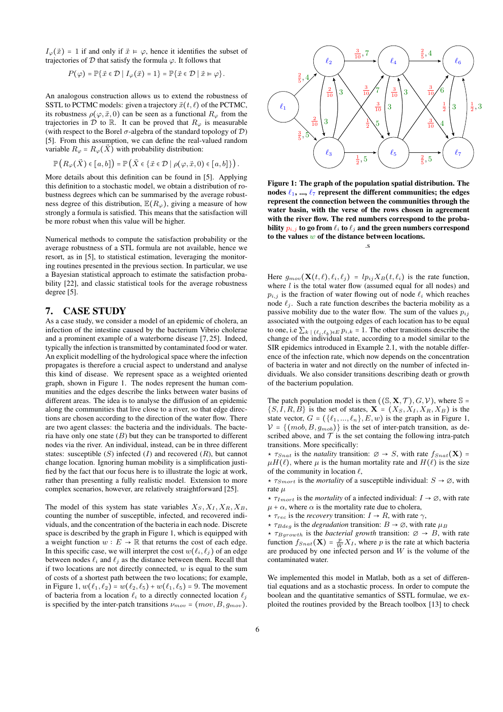$I_{\varphi}(\vec{x}) = 1$  if and only if  $\vec{x} \models \varphi$ , hence it identifies the subset of trajectories of  $D$  that satisfy the formula  $\varphi$ . It follows that

$$
P(\varphi) = \mathbb{P}\{\vec{x} \in \mathcal{D} \mid I_{\varphi}(\vec{x}) = 1\} = \mathbb{P}\{\vec{x} \in \mathcal{D} \mid \vec{x} \models \varphi\}.
$$

An analogous construction allows us to extend the robustness of SSTL to PCTMC models: given a trajectory  $\vec{x}(t, \ell)$  of the PCTMC, its robustness  $\rho(\varphi, \vec{x}, 0)$  can be seen as a functional  $R_{\varphi}$  from the trajectories in  $\mathcal D$  to  $\mathbb R$ . It can be proved that  $R_{\varphi}$  is measurable (with respect to the Borel  $\sigma$ -algebra of the standard topology of  $\mathcal{D}$ ) [5]. From this assumption, we can define the real-valued random variable  $R_{\varphi} = R_{\varphi}(\vec{X})$  with probability distribution:

$$
\mathbb{P}\left(R_\varphi(\vec{X})\in\left[a,b\right]\right)=\mathbb{P}\left(\vec{X}\in\left\{\vec{x}\in\mathcal{D}\mid\rho(\varphi,\vec{x},0)\in\left[a,b\right]\right\}\right).
$$

More details about this definition can be found in [5]. Applying this definition to a stochastic model, we obtain a distribution of robustness degrees which can be summarised by the average robustness degree of this distribution,  $\mathbb{E}(R_{\varphi})$ , giving a measure of how strongly a formula is satisfied. This means that the satisfaction will be more robust when this value will be higher.

Numerical methods to compute the satisfaction probability or the average robustness of a STL formula are not available, hence we resort, as in [5], to statistical estimation, leveraging the monitoring routines presented in the previous section. In particular, we use a Bayesian statistical approach to estimate the satisfaction probability [22], and classic statistical tools for the average robustness degree [5].

## 7. CASE STUDY

As a case study, we consider a model of an epidemic of cholera, an infection of the intestine caused by the bacterium Vibrio cholerae and a prominent example of a waterborne disease [7, 25]. Indeed, typically the infection is transmitted by contaminated food or water. An explicit modelling of the hydrological space where the infection propagates is therefore a crucial aspect to understand and analyse this kind of disease. We represent space as a weighted oriented graph, shown in Figure 1. The nodes represent the human communities and the edges describe the links between water basins of different areas. The idea is to analyse the diffusion of an epidemic along the communities that live close to a river, so that edge directions are chosen according to the direction of the water flow. There are two agent classes: the bacteria and the individuals. The bacteria have only one state  $(B)$  but they can be transported to different nodes via the river. An individual, instead, can be in three different states: susceptible  $(S)$  infected  $(I)$  and recovered  $(R)$ , but cannot change location. Ignoring human mobility is a simplification justified by the fact that our focus here is to illustrate the logic at work, rather than presenting a fully realistic model. Extension to more complex scenarios, however, are relatively straightforward [25].

The model of this system has state variables  $X_S, X_I, X_R, X_B$ , counting the number of susceptible, infected, and recovered individuals, and the concentration of the bacteria in each node. Discrete space is described by the graph in Figure 1, which is equipped with a weight function  $w : E \to \mathbb{R}$  that returns the cost of each edge. In this specific case, we will interpret the cost  $w(\ell_i, \ell_j)$  of an edge between nodes  $\ell_i$  and  $\ell_j$  as the distance between them. Recall that if two locations are not directly connected,  $w$  is equal to the sum of costs of a shortest path between the two locations; for example, in Figure 1,  $w(\ell_1, \ell_2) = w(\ell_2, \ell_5) + w(\ell_1, \ell_5) = 9$ . The movement of bacteria from a location  $\ell_i$  to a directly connected location  $\ell_i$ is specified by the inter-patch transitions  $\nu_{mov} = (mov, B, g_{mov})$ .



Figure 1: The graph of the population spatial distribution. The nodes  $\ell_1$ , ...,  $\ell_7$  represent the different communities; the edges represent the connection between the communities through the water basin, with the verse of the rows chosen in agreement with the river flow. The red numbers correspond to the probability  $p_{i,j}$  to go from  $\ell_i$  to  $\ell_j$  and the green numbers correspond to the values  $w$  of the distance between locations.

.s

Here  $g_{mov}(\mathbf{X}(t, \ell), \ell_i, \ell_j) = lp_{ij}X_B(t, \ell_i)$  is the rate function, where  $l$  is the total water flow (assumed equal for all nodes) and  $p_{i,j}$  is the fraction of water flowing out of node  $\ell_i$  which reaches node  $\ell_i$ . Such a rate function describes the bacteria mobility as a passive mobility due to the water flow. The sum of the values  $p_{ij}$ associated with the outgoing edges of each location has to be equal to one, i.e  $\sum_{k} |(\ell_i,\ell_k) \in E \cdot p_{i,k} = 1$ . The other transitions describe the change of the individual state, according to a model similar to the SIR epidemics introduced in Example 2.1, with the notable difference of the infection rate, which now depends on the concentration of bacteria in water and not directly on the number of infected individuals. We also consider transitions describing death or growth of the bacterium population.

The patch population model is then  $((\mathcal{S}, \mathbf{X}, \mathcal{T}), G, \mathcal{V})$ , where  $\mathcal{S} =$  $\{S, I, R, B\}$  is the set of states,  $\mathbf{X} = (X_S, X_I, X_R, X_B)$  is the state vector,  $G = (\{\ell_1, ..., \ell_n\}, E, w)$  is the graph as in Figure 1,  $V = \{ (mob, B, g_{mob}) \}$  is the set of inter-patch transition, as described above, and  $\mathcal T$  is the set containg the following intra-patch transitions. More specifically:

 $\star \tau_{Snat}$  is the *natality* transition:  $\varnothing \to S$ , with rate  $f_{Snat}(\mathbf{X}) =$  $\mu H(\ell)$ , where  $\mu$  is the human mortality rate and  $H(\ell)$  is the size of the community in location  $\ell$ ,

 $\star \tau_{Smort}$  is the *mortality* of a susceptible individual:  $S \to \emptyset$ , with rate µ

 $\star \tau_{Imort}$  is the *mortality* of a infected individual:  $I \rightarrow \emptyset$ , with rate  $\mu + \alpha$ , where  $\alpha$  is the mortality rate due to cholera,

- $\star \tau_{rec}$  is the *recovery* transition:  $I \rightarrow R$ , with rate  $\gamma$ ,
- $\star \tau_{Bdeg}$  is the *degradation* transition:  $B \to \emptyset$ , with rate  $\mu_B$

 $\star \tau_{Bqrowth}$  is the *bacterial growth* transition:  $\varnothing \rightarrow B$ , with rate function  $f_{Snat}(\mathbf{X}) = \frac{p}{W} X_I$ , where p is the rate at which bacteria are produced by one infected person and  $W$  is the volume of the contaminated water.

We implemented this model in Matlab, both as a set of differential equations and as a stochastic process. In order to compute the boolean and the quantitative semantics of SSTL formulae, we exploited the routines provided by the Breach toolbox [13] to check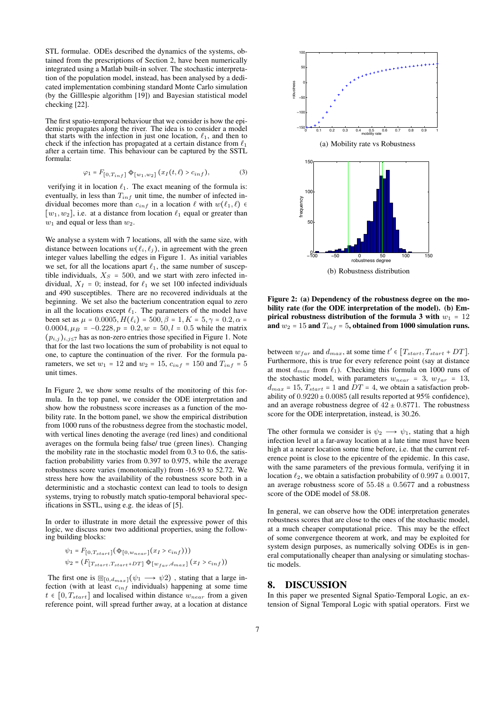STL formulae. ODEs described the dynamics of the systems, obtained from the prescriptions of Section 2, have been numerically integrated using a Matlab built-in solver. The stochastic interpretation of the population model, instead, has been analysed by a dedicated implementation combining standard Monte Carlo simulation (by the Gilllespie algorithm [19]) and Bayesian statistical model checking [22].

The first spatio-temporal behaviour that we consider is how the epidemic propagates along the river. The idea is to consider a model that starts with the infection in just one location,  $\ell_1$ , and then to check if the infection has propagated at a certain distance from  $\ell_1$ after a certain time. This behaviour can be captured by the SSTL formula:

$$
\varphi_1 = F_{[0, T_{inf}]} \otimes_{[w_1, w_2]} (x_I(t, \ell) > c_{inf}), \tag{3}
$$

verifying it in location  $\ell_1$ . The exact meaning of the formula is: eventually, in less than  $T_{inf}$  unit time, the number of infected individual becomes more than  $c_{inf}$  in a location  $\ell$  with  $w(\ell_1, \ell) \in$ [ $w_1, w_2$ ], i.e. at a distance from location  $\ell_1$  equal or greater than  $w_1$  and equal or less than  $w_2$ .

We analyse a system with 7 locations, all with the same size, with distance between locations  $w(\ell_i, \ell_j)$ , in agreement with the green integer values labelling the edges in Figure 1. As initial variables we set, for all the locations apart  $\ell_1$ , the same number of susceptible individuals,  $X_{S} = 500$ , and we start with zero infected individual,  $X_I = 0$ ; instead, for  $\ell_1$  we set 100 infected individuals and 490 susceptibles. There are no recovered individuals at the beginning. We set also the bacterium concentration equal to zero in all the locations except  $\ell_1$ . The parameters of the model have been set as  $\mu = 0.0005, H(\ell_i) = 500, \beta = 1, K = 5, \gamma = 0.2, \alpha =$ 0.0004,  $\mu_B = -0.228$ ,  $p = 0.2$ ,  $w = 50$ ,  $l = 0.5$  while the matrix  $(p_{i,j})_{i,j\leq 7}$  has as non-zero entries those specified in Figure 1. Note that for the last two locations the sum of probability is not equal to one, to capture the continuation of the river. For the formula parameters, we set  $w_1 = 12$  and  $w_2 = 15$ ,  $c_{inf} = 150$  and  $T_{inf} = 5$ unit times.

In Figure 2, we show some results of the monitoring of this formula. In the top panel, we consider the ODE interpretation and show how the robustness score increases as a function of the mobility rate. In the bottom panel, we show the empirical distribution from 1000 runs of the robustness degree from the stochastic model, with vertical lines denoting the average (red lines) and conditional averages on the formula being false/ true (green lines). Changing the mobility rate in the stochastic model from 0.3 to 0.6, the satisfaction probabilitty varies from 0.397 to 0.975, while the average robustness score varies (monotonically) from -16.93 to 52.72. We stress here how the availability of the robustness score both in a deterministic and a stochastic context can lead to tools to design systems, trying to robustly match spatio-temporal behavioral specifications in SSTL, using e.g. the ideas of [5].

In order to illustrate in more detail the expressive power of this logic, we discuss now two additional properties, using the following building blocks:

$$
\psi_1 = F_{[0, T_{start}]}(\mathcal{Q}_{[0, w_{near}]}(x_I > c_{inf})))
$$
  

$$
\psi_2 = (F_{[T_{start}, T_{start}+DT]} \mathcal{Q}_{[w_{far}, d_{max}]}(x_I > c_{inf}))
$$

The first one is  $\mathbb{D}_{[0,d_{max}]}(\psi_1 \longrightarrow \psi_2)$ , stating that a large infection (with at least  $c_{inf}$  individuals) happening at some time  $t \in [0, T_{start}]$  and localised within distance  $w_{near}$  from a given reference point, will spread further away, at a location at distance



Figure 2: (a) Dependency of the robustness degree on the mobility rate (for the ODE interpretation of the model). (b) Empirical robustness distribution of the formula 3 with  $w_1 = 12$ and  $w_2 = 15$  and  $T_{inf} = 5$ , obtained from 1000 simulation runs.

between  $w_{far}$  and  $d_{max}$ , at some time  $t' \in [T_{start}, T_{start} + DT]$ . Furthermore, this is true for every reference point (say at distance at most  $d_{max}$  from  $\ell_1$ ). Checking this formula on 1000 runs of the stochastic model, with parameters  $w_{near} = 3$ ,  $w_{far} = 13$ ,  $d_{max} = 15$ ,  $T_{start} = 1$  and  $DT = 4$ , we obtain a satisfaction probability of  $0.9220 \pm 0.0085$  (all results reported at 95% confidence), and an average robustness degree of  $42 \pm 0.8771$ . The robustness score for the ODE interpretation, instead, is 30.26.

The other formula we consider is  $\psi_2 \longrightarrow \psi_1$ , stating that a high infection level at a far-away location at a late time must have been high at a nearer location some time before, i.e. that the current reference point is close to the epicentre of the epidemic. In this case, with the same parameters of the previous formula, verifying it in location  $\ell_2$ , we obtain a satisfaction probability of  $0.997 \pm 0.0017$ , an average robustness score of  $55.48 \pm 0.5677$  and a robustness score of the ODE model of 58.08.

In general, we can observe how the ODE interpretation generates robustness scores that are close to the ones of the stochastic model, at a much cheaper computational price. This may be the effect of some convergence theorem at work, and may be exploited for system design purposes, as numerically solving ODEs is in general computationally cheaper than analysing or simulating stochastic models.

#### 8. DISCUSSION

In this paper we presented Signal Spatio-Temporal Logic, an extension of Signal Temporal Logic with spatial operators. First we